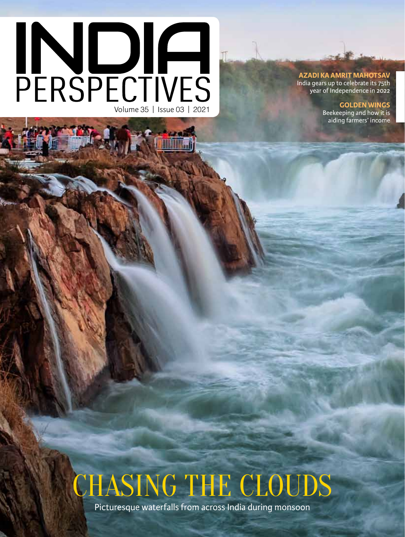# **PERSPECTIVES**

#### **Azadi ka Amrit Mahotsav**

India gears up to celebrate its 75th year of Independence in 2022

**Golden wings**

Beekeeping and how it is aiding farmers' income

# CHASING THE CLOUDS

Picturesque waterfalls from across India during monsoon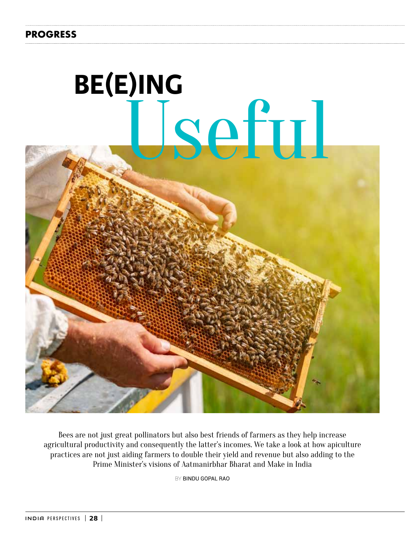# **PROGRESS**



Bees are not just great pollinators but also best friends of farmers as they help increase agricultural productivity and consequently the latter's incomes. We take a look at how apiculture practices are not just aiding farmers to double their yield and revenue but also adding to the Prime Minister's visions of Aatmanirbhar Bharat and Make in India

BY Bindu Gopal Rao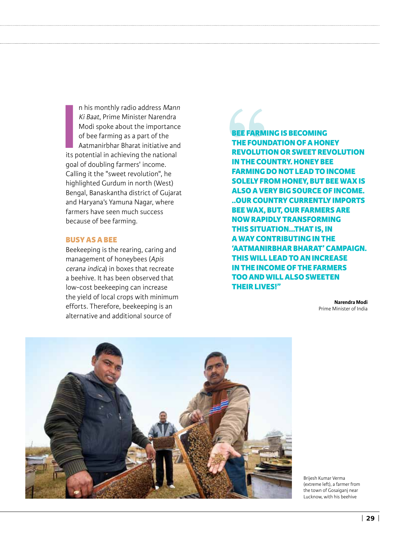**I**<br> **I**<br> **I**<br> **I**<br> **I**<br> **I**<br> **I**<br> **I** n his monthly radio address Mann Ki Baat, Prime Minister Narendra Modi spoke about the importance of bee farming as a part of the Aatmanirbhar Bharat initiative and its potential in achieving the national goal of doubling farmers' income. Calling it the "sweet revolution", he highlighted Gurdum in north (West) Bengal, Banaskantha district of Gujarat and Haryana's Yamuna Nagar, where farmers have seen much success because of bee farming.

#### **Busy as a Bee**

Beekeeping is the rearing, caring and management of honeybees (Apis cerana indica) in boxes that recreate a beehive. It has been observed that low-cost beekeeping can increase the yield of local crops with minimum efforts. Therefore, beekeeping is an alternative and additional source of

**Bee farming is becoming the foundation of a honey revolution or sweet revolution in the country. Honey Bee Farming do not lead to income solely from honey, but bee wax is also a very big source of income. ..Our country currently imports bee wax, but, our farmers are now rapidly transforming this situation…that is, in a way contributing in the 'Aatmanirbhar Bharat' campaign. This will lead to an increase in the income of the farmers too and will also sweeten their lives!"**

> **Narendra Modi** Prime Minister of India



Brijesh Kumar Verma (extreme left), a farmer from the town of Gosaiganj near Lucknow, with his beehive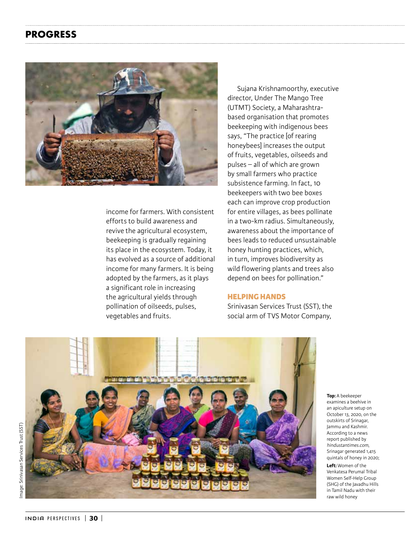# **PROGRESS**



income for farmers. With consistent efforts to build awareness and revive the agricultural ecosystem, beekeeping is gradually regaining its place in the ecosystem. Today, it has evolved as a source of additional income for many farmers. It is being adopted by the farmers, as it plays a significant role in increasing the agricultural yields through pollination of oilseeds, pulses, vegetables and fruits.

Sujana Krishnamoorthy, executive director, Under The Mango Tree (UTMT) Society, a Maharashtrabased organisation that promotes beekeeping with indigenous bees says, "The practice [of rearing honeybees] increases the output of fruits, vegetables, oilseeds and pulses – all of which are grown by small farmers who practice subsistence farming. In fact, 10 beekeepers with two bee boxes each can improve crop production for entire villages, as bees pollinate in a two-km radius. Simultaneously, awareness about the importance of bees leads to reduced unsustainable honey hunting practices, which, in turn, improves biodiversity as wild flowering plants and trees also depend on bees for pollination."

### **Helping Hands**

Srinivasan Services Trust (SST), the social arm of TVS Motor Company,



**Top:** A beekeeper examines a beehive in an apiculture setup on October 13, 2020, on the outskirts of Srinagar, Jammu and Kashmir. According to a news report published by hindustantimes.com, Srinagar generated 1,415 quintals of honey in 2020;

**Left:** Women of the Venkatesa Perumal Tribal Women Self-Help Group (SHG) of the Javadhu Hills in Tamil Nadu with their raw wild honey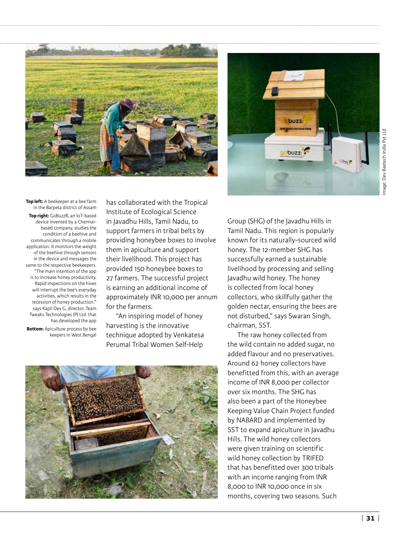



**Top left:** A beekeeper at a bee farm in the Barpeta district of Assam **Top right:** GoBuzzR, an IoT-based device invented by a Chennaibased company, studies the condition of a beehive and communicates through a mobile application. It monitors the weight of the beehive through sensors in the device and messages the same to the respective beekeepers. "The main intention of the app is to increase honey productivity. Rapid inspections on the hives will interrupt the bee's everyday activities, which results in the recession of honey production." says Kapil Dev G, director, Team Tweaks Technologies (P) Ltd. that has developed the app **Bottom:** Apiculture process by bee keepers in West Bengal

has collaborated with the Tropical Institute of Ecological Science in Javadhu Hills, Tamil Nadu, to support farmers in tribal belts by providing honeybee boxes to involve them in apiculture and support their livelihood. This project has provided 150 honeybee boxes to 27 farmers. The successful project is earning an additional income of approximately INR 10,000 per annum for the farmers.

"An inspiring model of honey harvesting is the innovative technique adopted by Venkatesa Perumal Tribal Women Self-Help

Group (SHG) of the Javadhu Hills in Tamil Nadu. This region is popularly known for its naturally-sourced wild honey. The 12-member SHG has successfully earned a sustainable livelihood by processing and selling Javadhu wild honey. The honey is collected from local honey collectors, who skillfully gather the golden nectar, ensuring the bees are not disturbed," says Swaran Singh, chairman, SST.

The raw honey collected from the wild contain no added sugar, no added flavour and no preservatives. Around 62 honey collectors have benefitted from this, with an average income of INR 8,000 per collector over six months. The SHG has also been a part of the Honeybee Keeping Value Chain Project funded by NABARD and implemented by SST to expand apiculture in Javadhu Hills. The wild honey collectors were given training on scientific wild honey collection by TRIFED that has benefitted over 300 tribals with an income ranging from INR 8,000 to INR 10,000 once in six months, covering two seasons. Such

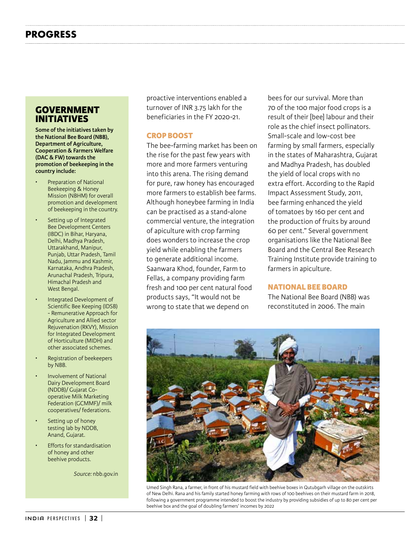# **Government Initiatives**

**Some of the initiatives taken by the National Bee Board (NBB), Department of Agriculture, Cooperation & Farmers Welfare (DAC & FW) towards the promotion of beekeeping in the country include:**

- Preparation of National Beekeeping & Honey Mission (NBHM) for overall promotion and development of beekeeping in the country.
- Setting up of Integrated Bee Development Centers (IBDC) in Bihar, Haryana, Delhi, Madhya Pradesh, Uttarakhand, Manipur, Punjab, Uttar Pradesh, Tamil Nadu, Jammu and Kashmir, Karnataka, Andhra Pradesh, Arunachal Pradesh, Tripura, Himachal Pradesh and West Bengal.
- Integrated Development of Scientific Bee Keeping (IDSB) - Remunerative Approach for Agriculture and Allied sector Rejuvenation (RKVY), Mission for Integrated Development of Horticulture (MIDH) and other associated schemes.
- Registration of beekeepers by NBB.
- Involvement of National Dairy Development Board (NDDB)/ Gujarat Cooperative Milk Marketing Federation (GCMMF)/ milk cooperatives/ federations.
- Setting up of honey testing lab by NDDB, Anand, Gujarat.
- **Efforts for standardisation** of honey and other beehive products.

Source: nbb.gov.in

proactive interventions enabled a turnover of INR 3.75 lakh for the beneficiaries in the FY 2020-21.

## **Crop Boost**

The bee-farming market has been on the rise for the past few years with more and more farmers venturing into this arena. The rising demand for pure, raw honey has encouraged more farmers to establish bee farms. Although honeybee farming in India can be practised as a stand-alone commercial venture, the integration of apiculture with crop farming does wonders to increase the crop yield while enabling the farmers to generate additional income. Saanwara Khod, founder, Farm to Fellas, a company providing farm fresh and 100 per cent natural food products says, "It would not be wrong to state that we depend on

bees for our survival. More than 70 of the 100 major food crops is a result of their [bee] labour and their role as the chief insect pollinators. Small-scale and low-cost bee farming by small farmers, especially in the states of Maharashtra, Gujarat and Madhya Pradesh, has doubled the yield of local crops with no extra effort. According to the Rapid Impact Assessment Study, 2011, bee farming enhanced the yield of tomatoes by 160 per cent and the production of fruits by around 60 per cent." Several government organisations like the National Bee Board and the Central Bee Research Training Institute provide training to farmers in apiculture.

#### **National Bee Board**

The National Bee Board (NBB) was reconstituted in 2006. The main



Umed Singh Rana, a farmer, in front of his mustard field with beehive boxes in Qutubgarh village on the outskirts of New Delhi. Rana and his family started honey farming with rows of 100 beehives on their mustard farm in 2018, following a government programme intended to boost the industry by providing subsidies of up to 80 per cent per beehive box and the goal of doubling farmers' incomes by 2022